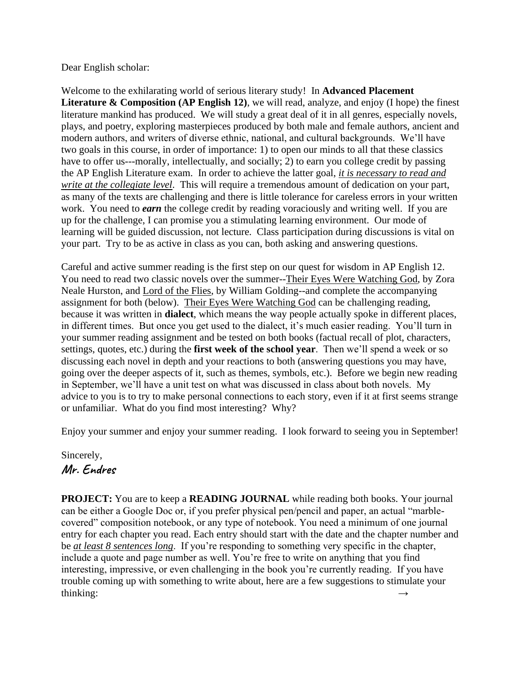Dear English scholar:

Welcome to the exhilarating world of serious literary study! In **Advanced Placement Literature & Composition (AP English 12)**, we will read, analyze, and enjoy (I hope) the finest literature mankind has produced. We will study a great deal of it in all genres, especially novels, plays, and poetry, exploring masterpieces produced by both male and female authors, ancient and modern authors, and writers of diverse ethnic, national, and cultural backgrounds. We'll have two goals in this course, in order of importance: 1) to open our minds to all that these classics have to offer us---morally, intellectually, and socially; 2) to earn you college credit by passing the AP English Literature exam. In order to achieve the latter goal, *it is necessary to read and write at the collegiate level*. This will require a tremendous amount of dedication on your part, as many of the texts are challenging and there is little tolerance for careless errors in your written work. You need to *earn* the college credit by reading voraciously and writing well. If you are up for the challenge, I can promise you a stimulating learning environment. Our mode of learning will be guided discussion, not lecture. Class participation during discussions is vital on your part. Try to be as active in class as you can, both asking and answering questions.

Careful and active summer reading is the first step on our quest for wisdom in AP English 12. You need to read two classic novels over the summer--Their Eyes Were Watching God, by Zora Neale Hurston, and Lord of the Flies, by William Golding--and complete the accompanying assignment for both (below). Their Eyes Were Watching God can be challenging reading, because it was written in **dialect**, which means the way people actually spoke in different places, in different times. But once you get used to the dialect, it's much easier reading. You'll turn in your summer reading assignment and be tested on both books (factual recall of plot, characters, settings, quotes, etc.) during the **first week of the school year**. Then we'll spend a week or so discussing each novel in depth and your reactions to both (answering questions you may have, going over the deeper aspects of it, such as themes, symbols, etc.). Before we begin new reading in September, we'll have a unit test on what was discussed in class about both novels. My advice to you is to try to make personal connections to each story, even if it at first seems strange or unfamiliar. What do you find most interesting? Why?

Enjoy your summer and enjoy your summer reading. I look forward to seeing you in September!

Sincerely, **Mr. Endres**

**PROJECT:** You are to keep a **READING JOURNAL** while reading both books. Your journal can be either a Google Doc or, if you prefer physical pen/pencil and paper, an actual "marblecovered" composition notebook, or any type of notebook. You need a minimum of one journal entry for each chapter you read. Each entry should start with the date and the chapter number and be *at least 8 sentences long*. If you're responding to something very specific in the chapter, include a quote and page number as well. You're free to write on anything that you find interesting, impressive, or even challenging in the book you're currently reading. If you have trouble coming up with something to write about, here are a few suggestions to stimulate your thinking:  $\rightarrow$